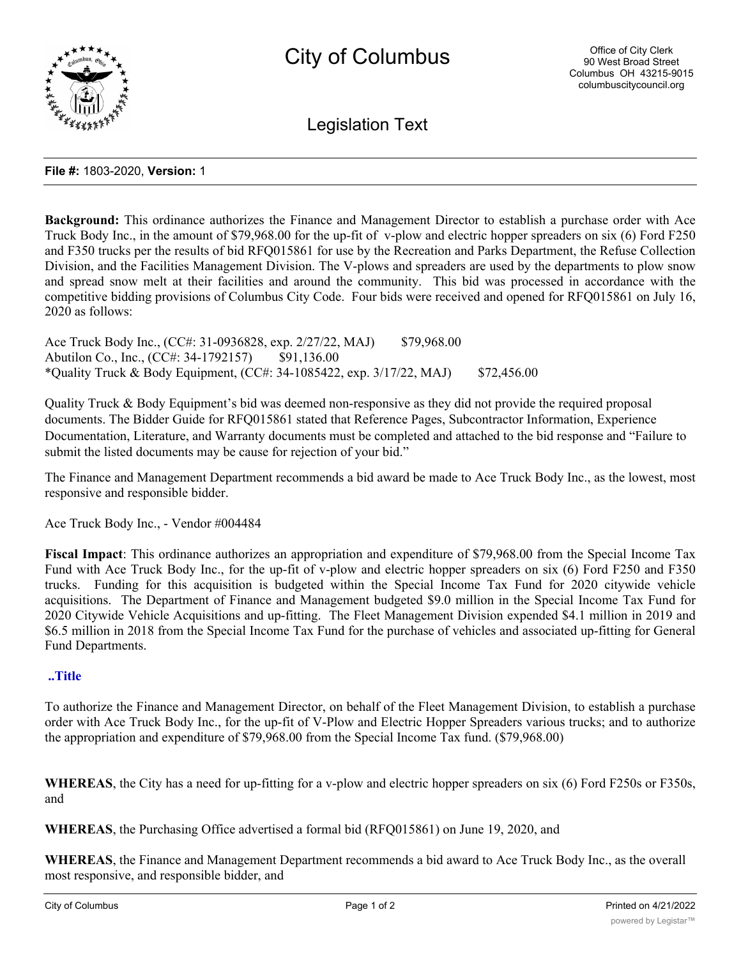

Legislation Text

### **File #:** 1803-2020, **Version:** 1

**Background:** This ordinance authorizes the Finance and Management Director to establish a purchase order with Ace Truck Body Inc., in the amount of \$79,968.00 for the up-fit of v-plow and electric hopper spreaders on six (6) Ford F250 and F350 trucks per the results of bid RFQ015861 for use by the Recreation and Parks Department, the Refuse Collection Division, and the Facilities Management Division. The V-plows and spreaders are used by the departments to plow snow and spread snow melt at their facilities and around the community. This bid was processed in accordance with the competitive bidding provisions of Columbus City Code. Four bids were received and opened for RFQ015861 on July 16, 2020 as follows:

Ace Truck Body Inc., (CC#: 31-0936828, exp. 2/27/22, MAJ) \$79,968.00 Abutilon Co., Inc., (CC#: 34-1792157) \$91,136.00 \*Quality Truck & Body Equipment, (CC#: 34-1085422, exp. 3/17/22, MAJ) \$72,456.00

Quality Truck & Body Equipment's bid was deemed non-responsive as they did not provide the required proposal documents. The Bidder Guide for RFQ015861 stated that Reference Pages, Subcontractor Information, Experience Documentation, Literature, and Warranty documents must be completed and attached to the bid response and "Failure to submit the listed documents may be cause for rejection of your bid."

The Finance and Management Department recommends a bid award be made to Ace Truck Body Inc., as the lowest, most responsive and responsible bidder.

Ace Truck Body Inc., - Vendor #004484

**Fiscal Impact**: This ordinance authorizes an appropriation and expenditure of \$79,968.00 from the Special Income Tax Fund with Ace Truck Body Inc., for the up-fit of v-plow and electric hopper spreaders on six (6) Ford F250 and F350 trucks. Funding for this acquisition is budgeted within the Special Income Tax Fund for 2020 citywide vehicle acquisitions. The Department of Finance and Management budgeted \$9.0 million in the Special Income Tax Fund for 2020 Citywide Vehicle Acquisitions and up-fitting. The Fleet Management Division expended \$4.1 million in 2019 and \$6.5 million in 2018 from the Special Income Tax Fund for the purchase of vehicles and associated up-fitting for General Fund Departments.

## **..Title**

To authorize the Finance and Management Director, on behalf of the Fleet Management Division, to establish a purchase order with Ace Truck Body Inc., for the up-fit of V-Plow and Electric Hopper Spreaders various trucks; and to authorize the appropriation and expenditure of \$79,968.00 from the Special Income Tax fund. (\$79,968.00)

**WHEREAS**, the City has a need for up-fitting for a v-plow and electric hopper spreaders on six (6) Ford F250s or F350s, and

**WHEREAS**, the Purchasing Office advertised a formal bid (RFQ015861) on June 19, 2020, and

**WHEREAS**, the Finance and Management Department recommends a bid award to Ace Truck Body Inc., as the overall most responsive, and responsible bidder, and